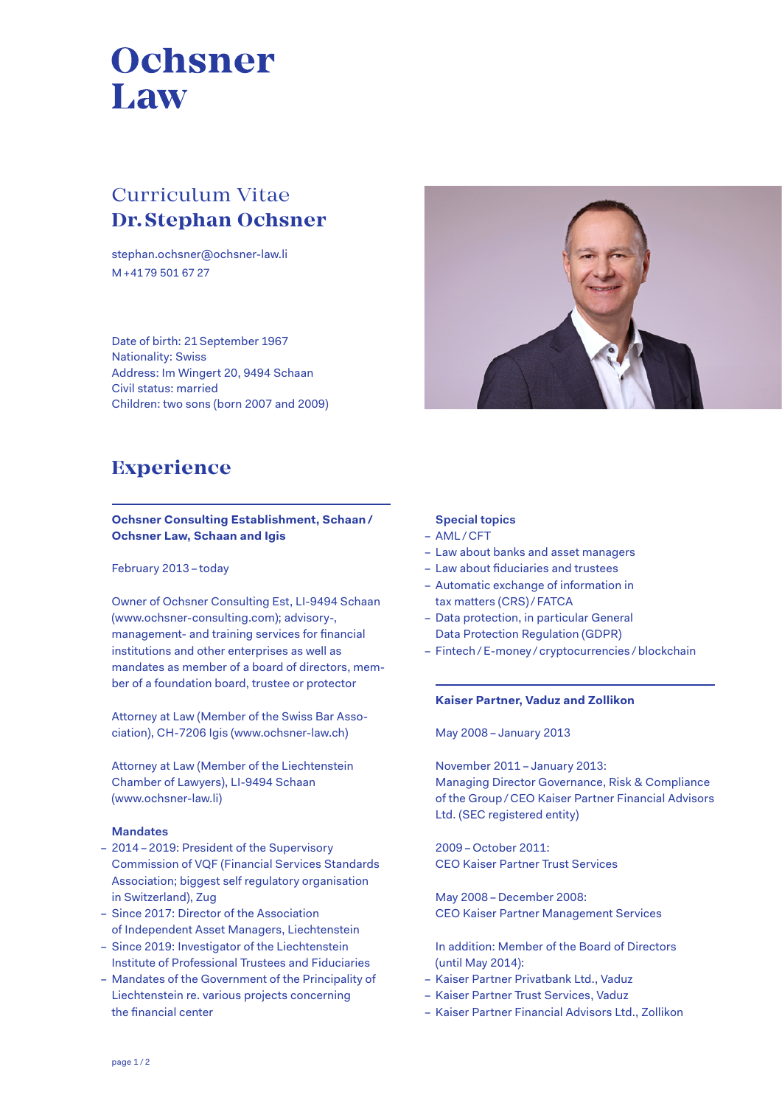# Ochsner Law

# Curriculum Vitae **Dr. Stephan Ochsner**

stephan.ochsner@ochsner-law.li M +41 79 501 67 27

Date of birth: 21 September 1967 Nationality: Swiss Address: Im Wingert 20, 9494 Schaan Civil status: married Children: two sons (born 2007 and 2009)



# **Experience**

## **Ochsner Consulting Establishment, Schaan/ Ochsner Law, Schaan and Igis**

#### February 2013 – today

Owner of Ochsner Consulting Est, LI-9494 Schaan (www.ochsner-consulting.com); advisory-, management- and training services for financial institutions and other enterprises as well as mandates as member of a board of directors, member of a foundation board, trustee or protector

Attorney at Law (Member of the Swiss Bar Association), CH-7206 Igis (www.ochsner-law.ch)

Attorney at Law (Member of the Liechtenstein Chamber of Lawyers), LI-9494 Schaan (www.ochsner-law.li)

## **Mandates**

- 2014 2019: President of the Supervisory Commission of VQF (Financial Services Standards Association; biggest self regulatory organisation in Switzerland), Zug
- Since 2017: Director of the Association of Independent Asset Managers, Liechtenstein
- Since 2019: Investigator of the Liechtenstein Institute of Professional Trustees and Fiduciaries
- Mandates of the Government of the Principality of Liechtenstein re. various projects concerning the financial center

## **Special topics**

- AML / CFT
- Law about banks and asset managers
- Law about fiduciaries and trustees
- Automatic exchange of information in tax matters (CRS) / FATCA
- Data protection, in particular General Data Protection Regulation (GDPR)
- Fintech /E-money / cryptocurrencies /blockchain

#### **Kaiser Partner, Vaduz and Zollikon**

May 2008 – January 2013

November 2011 – January 2013: Managing Director Governance, Risk & Compliance of the Group/ CEO Kaiser Partner Financial Advisors Ltd. (SEC registered entity)

2009 –October 2011: CEO Kaiser Partner Trust Services

May 2008 – December 2008: CEO Kaiser Partner Management Services

In addition: Member of the Board of Directors (until May 2014):

- Kaiser Partner Privatbank Ltd., Vaduz
- Kaiser Partner Trust Services, Vaduz
- Kaiser Partner Financial Advisors Ltd., Zollikon